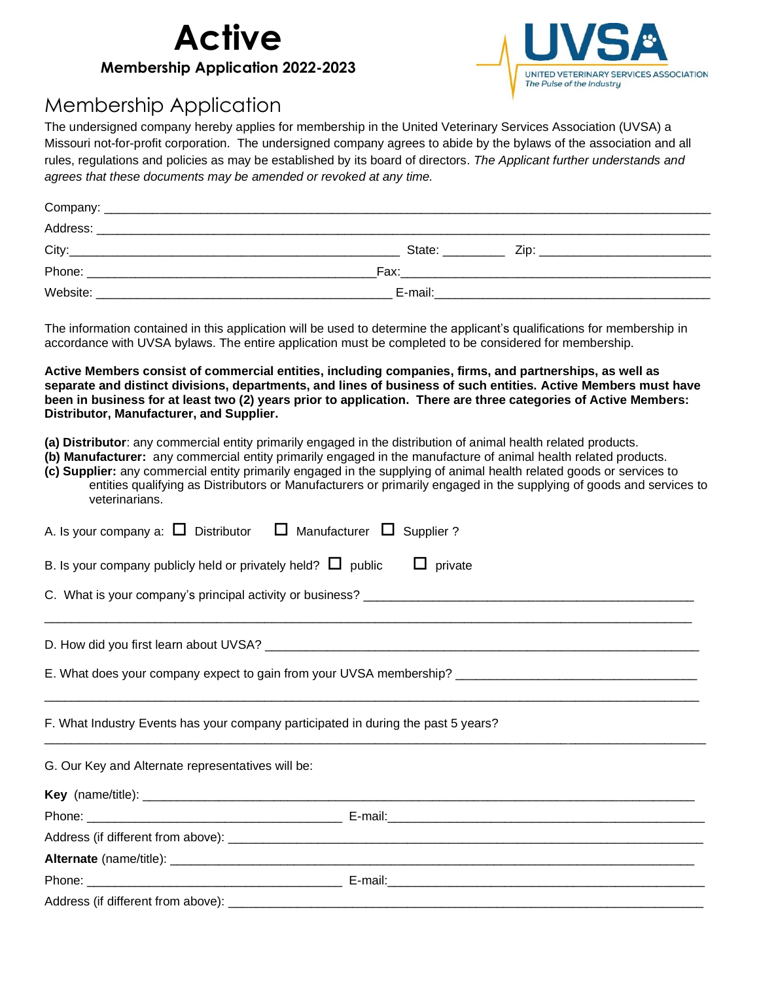



## Membership Application

The undersigned company hereby applies for membership in the United Veterinary Services Association (UVSA) a Missouri not-for-profit corporation. The undersigned company agrees to abide by the bylaws of the association and all rules, regulations and policies as may be established by its board of directors. *The Applicant further understands and agrees that these documents may be amended or revoked at any time.*

| Company: |                                                           |  |
|----------|-----------------------------------------------------------|--|
| Address: | <u> 1989 - John Stone, Amerikaansk politiker (* 1989)</u> |  |
| City:    | State:<br>Zip <sup>-</sup>                                |  |
| Phone:   | Fax:                                                      |  |
| Website: | E-mail:                                                   |  |

The information contained in this application will be used to determine the applicant's qualifications for membership in accordance with UVSA bylaws. The entire application must be completed to be considered for membership.

**Active Members consist of commercial entities, including companies, firms, and partnerships, as well as separate and distinct divisions, departments, and lines of business of such entities. Active Members must have been in business for at least two (2) years prior to application. There are three categories of Active Members: Distributor, Manufacturer, and Supplier.** 

- **(a) Distributor**: any commercial entity primarily engaged in the distribution of animal health related products.
- **(b) Manufacturer:** any commercial entity primarily engaged in the manufacture of animal health related products.
- **(c) Supplier:** any commercial entity primarily engaged in the supplying of animal health related goods or services to entities qualifying as Distributors or Manufacturers or primarily engaged in the supplying of goods and services to veterinarians.

| A. Is your company a: $\square$ Distributor $\square$ Manufacturer $\square$ Supplier? |  |  |
|----------------------------------------------------------------------------------------|--|--|
| B. Is your company publicly held or privately held? $\Box$ public<br>$\Box$ private    |  |  |
|                                                                                        |  |  |
|                                                                                        |  |  |
|                                                                                        |  |  |
| F. What Industry Events has your company participated in during the past 5 years?      |  |  |
| G. Our Key and Alternate representatives will be:                                      |  |  |
|                                                                                        |  |  |
|                                                                                        |  |  |
|                                                                                        |  |  |
|                                                                                        |  |  |
|                                                                                        |  |  |
|                                                                                        |  |  |